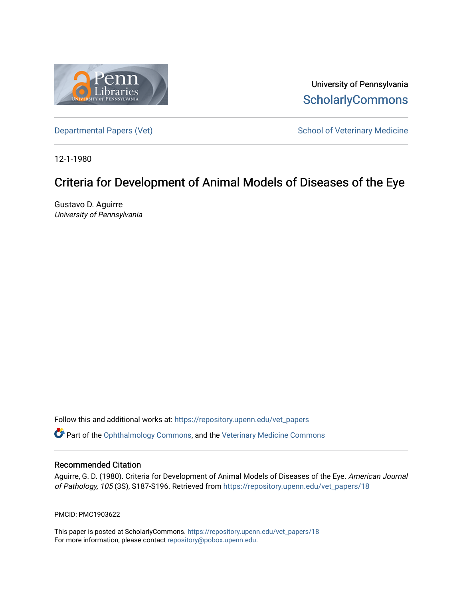

University of Pennsylvania **ScholarlyCommons** 

[Departmental Papers \(Vet\)](https://repository.upenn.edu/vet_papers) and School of Veterinary Medicine

12-1-1980

# Criteria for Development of Animal Models of Diseases of the Eye

Gustavo D. Aguirre University of Pennsylvania

Follow this and additional works at: [https://repository.upenn.edu/vet\\_papers](https://repository.upenn.edu/vet_papers?utm_source=repository.upenn.edu%2Fvet_papers%2F18&utm_medium=PDF&utm_campaign=PDFCoverPages) 

**P** Part of the [Ophthalmology Commons](http://network.bepress.com/hgg/discipline/695?utm_source=repository.upenn.edu%2Fvet_papers%2F18&utm_medium=PDF&utm_campaign=PDFCoverPages), and the Veterinary Medicine Commons

### Recommended Citation

Aguirre, G. D. (1980). Criteria for Development of Animal Models of Diseases of the Eye. American Journal of Pathology, 105 (3S), S187-S196. Retrieved from [https://repository.upenn.edu/vet\\_papers/18](https://repository.upenn.edu/vet_papers/18?utm_source=repository.upenn.edu%2Fvet_papers%2F18&utm_medium=PDF&utm_campaign=PDFCoverPages) 

PMCID: PMC1903622

This paper is posted at ScholarlyCommons. [https://repository.upenn.edu/vet\\_papers/18](https://repository.upenn.edu/vet_papers/18) For more information, please contact [repository@pobox.upenn.edu.](mailto:repository@pobox.upenn.edu)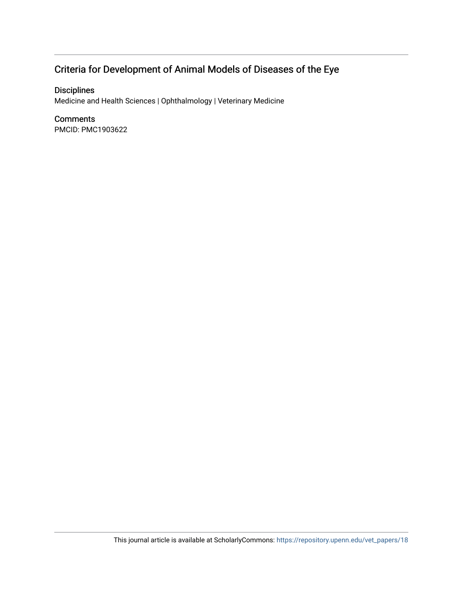# Criteria for Development of Animal Models of Diseases of the Eye

## Disciplines

Medicine and Health Sciences | Ophthalmology | Veterinary Medicine

### **Comments**

PMCID: PMC1903622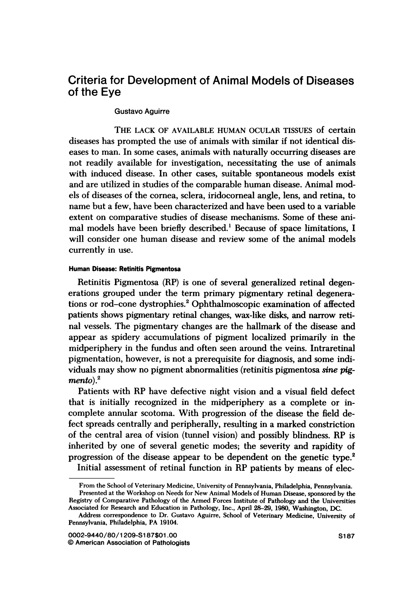## Criteria for Development of Animal Models of Diseases of the Eye

#### Gustavo Aguirre

THE LACK OF AVAILABLE HUMAN OCULAR TISSUES of certain diseases has prompted the use of animals with similar if not identical diseases to man. In some cases, animals with naturally occurring diseases are not readily available for investigation, necessitating the use of animals with induced disease. In other cases, suitable spontaneous models exist and are utilized in studies of the comparable human disease. Animal models of diseases of the cornea, sclera, iridocorneal angle, lens, and retina, to name but a few, have been characterized and have been used to a variable extent on comparative studies of disease mechanisms. Some of these animal models have been briefly described.' Because of space limitations, <sup>I</sup> will consider one human disease and review some of the animal models currently in use.

#### Human Disease: Retinitis Pigmentosa

Retinitis Pigmentosa (RP) is one of several generalized retinal degenerations grouped under the term primary pigmentary retinal degenerations or rod-cone dystrophies.<sup>2</sup> Ophthalmoscopic examination of affected patients shows pigmentary retinal changes, wax-like disks, and narrow retinal vessels. The pigmentary changes are the hallmark of the disease and appear as spidery accumulations of pigment localized primarily in the midperiphery in the fundus and often seen around the veins. Intraretinal pigmentation, however, is not a prerequisite for diagnosis, and some individuals may show no pigment abnormalities (retinitis pigmentosa sine pig $mento)<sup>2</sup>$ 

Patients with RP have defective night vision and a visual field defect that is initially recognized in the midperiphery as a complete or incomplete annular scotoma. With progression of the disease the field defect spreads centrally and peripherally, resulting in a marked constriction of the central area of vision (tunnel vision) and possibly blindness. RP is inherited by one of several genetic modes; the severity and rapidity of progression of the disease appear to be dependent on the genetic type.2 Initial assessment of retinal function in RP patients by means of elec-

From the School of Veterinary Medicine, University of Pennsylvania, Philadelphia, Pennsylvania. Presented at the Workshop on Needs for New Animal Models of Human Disease, sponsored by the Registry of Comparative Pathology of the Armed Forces Institute of Pathology and the Universities Associated for Research and Education in Pathology, Inc., April 28-29, 1980, Washington, DC.

Address correspondence to Dr. Gustavo Aguirre, School of Veterinary Medicine, University of Pennsylvania, Philadelphia, PA 19104.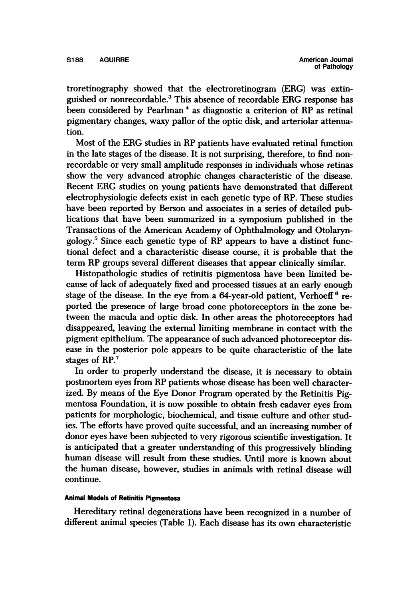troretinography showed that the electroretinogram (ERG) was extinguished or nonrecordable.3 This absence of recordable ERG response has been considered by Pearlman<sup>4</sup> as diagnostic a criterion of RP as retinal pigmentary changes, waxy pallor of the optic disk, and arteriolar attenuation.

Most of the ERG studies in RP patients have evaluated retinal function in the late stages of the disease. It is not surprising, therefore, to find nonrecordable or very small amplitude responses in individuals whose retinas show the very advanced atrophic changes characteristic of the disease. Recent ERG studies on young patients have demonstrated that different electrophysiologic defects exist in each genetic type of RP. These studies have been reported by Berson and associates in a series of detailed publications that have been summarized in a symposium published in the Transactions of the American Academy of Ophthalmology and Otolaryngology.5 Since each genetic type of RP appears to have a distinct functional defect and a characteristic disease course, it is probable that the term RP groups several different diseases that appear clinically similar.

Histopathologic studies of retinitis pigmentosa have been limited because of lack of adequately fixed and processed tissues at an early enough stage of the disease. In the eye from a  $64$ -year-old patient, Verhoeff<sup>6</sup> reported the presence of large broad cone photoreceptors in the zone between the macula and optic disk. In other areas the photoreceptors had disappeared, leaving the external limiting membrane in contact with the pigment epithelium. The appearance of such advanced photoreceptor disease in the posterior pole appears to be quite characteristic of the late stages of RP.<sup>7</sup>

In order to properly understand the disease, it is necessary to obtain postmortem eyes from RP patients whose disease has been well characterized. By means of the Eye Donor Program operated by the Retinitis Pigmentosa Foundation, it is now possible to obtain fresh cadaver eyes from patients for morphologic, biochemical, and tissue culture and other studies. The efforts have proved quite successful, and an increasing number of donor eyes have been subjected to very rigorous scientific investigation. It is anticipated that a greater understanding of this progressively blinding human disease will result from these studies. Until more is known about the human disease, however, studies in animals with retinal disease will continue.

#### Animal Models of Retinitis Pigmentosa

Hereditary retinal degenerations have been recognized in a number of different animal species (Table 1). Each disease has its own characteristic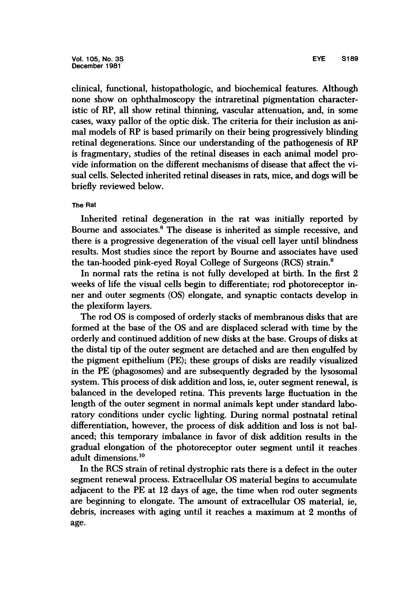clinical, functional, histopathologic, and biochemical features. Although none show on ophthalmoscopy the intraretinal pigmentation characteristic of RP, all show retinal thinning, vascular attenuation, and, in some cases, waxy pallor of the optic disk. The criteria for their inclusion as animal models of RP is based primarily on their being progressively blinding retinal degenerations. Since our understanding of the pathogenesis of RP is fragmentary, studies of the retinal diseases in each animal model provide information on the different mechanisms of disease that affect the visual cells. Selected inherited retinal diseases in rats, mice, and dogs will be briefly reviewed below.

#### The Rat

Inherited retinal degeneration in the rat was initially reported by Bourne and associates.8 The disease is inherited as simple recessive, and there is a progressive degeneration of the visual cell layer until blindness results. Most studies since the report by Bourne and associates have used the tan-hooded pink-eyed Royal College of Surgeons (RCS) strain.9

In normal rats the retina is not fully developed at birth. In the first 2 weeks of life the visual cells begin to differentiate; rod photoreceptor inner and outer segments (OS) elongate, and synaptic contacts develop in the plexiform layers.

The rod OS is composed of orderly stacks of membranous disks that are formed at the base of the OS and are displaced sclerad with time by the orderly and continued addition of new disks at the base. Groups of disks at the distal tip of the outer segment are detached and are then engulfed by the pigment epithelium (PE); these groups of disks are readily visualized in the PE (phagosomes) and are subsequently degraded by the lysosomal system. This process of disk addition and loss, ie, outer segment renewal, is balanced in the developed retina. This prevents large fluctuation in the length of the outer segment in normal animals kept under standard laboratory conditions under cyclic lighting. During normal postnatal retinal differentiation, however, the process of disk addition and loss is not balanced; this temporary imbalance in favor of disk addition results in the gradual elongation of the photoreceptor outer segment until it reaches adult dimensions.10

In the RCS strain of retinal dystrophic rats there is a defect in the outer segment renewal process. Extracellular OS material begins to accumulate adjacent to the PE at 12 days of age, the time when rod outer segments are beginning to elongate. The amount of extracellular OS material, ie, debris, increases with aging until it reaches a maximum at 2 months of age.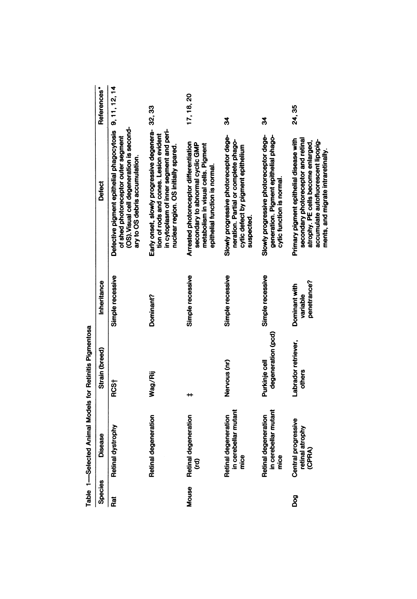|                | Table 1-Selected Animal Models for Retinitis Pigmentosa |                                     |                                          |                                                                                                                                                                                                   |                         |
|----------------|---------------------------------------------------------|-------------------------------------|------------------------------------------|---------------------------------------------------------------------------------------------------------------------------------------------------------------------------------------------------|-------------------------|
| <b>Species</b> | Disease                                                 | Strain (breed)                      | Inheritance                              | <b>Defect</b>                                                                                                                                                                                     | References <sup>*</sup> |
| Rat            | Retinal dystrophy                                       | RCS <sub>T</sub>                    | Simple recessive                         | Defective pigment epithelial phagocytosis<br>(OS). Visual cell degeneration is second-<br>of shed photoreceptor outer segment<br>ary to OS debris accumulation.                                   | 9, 11, 12, 14           |
|                | Retinal degeneration                                    | Wag/Rij                             | Dominant?                                | Early onset, slowly progressive degenera- 32, 33<br>in cytoplasm of inner segment and peri-<br>tion of rods and cones. Lesion evident<br>nuclear region. OS initially spared.                     |                         |
| Mouse          | Retinal degeneration<br>ĝ                               |                                     | Simple recessive                         | Arrested photoreceptor differentiation<br>secondary to abnormal cyclic GMP<br>metabolism in visual cells. Pigment<br>epithelial function is normal.                                               | 17, 18, 20              |
|                | in cerebellar mutant<br>Retinal degeneration<br>mice    | Nervous (nr)                        | Simple recessive                         | Slowly progressive photoreceptor dege-<br>neration. Partial or complete phago-<br>cytic defect by pigment epithelium<br>suspected                                                                 | z                       |
|                | in cerebellar mutant<br>Retinal degeneration<br>mice    | degeneration (pcd)<br>Purkinje cell | Simple recessive                         | Slowly progressive photoreceptor dege-<br>generation. Pigment epithelial phago-<br>cytic function is normal                                                                                       | z                       |
| ဦ              | Central progressive<br>retinal atrophy<br><b>(CPRA)</b> | Labrador retriever,<br>others       | penetrance?<br>Dominant with<br>variable | Primary pigment epithelial disease with<br>secondary photoreceptor and retinal<br>accumulate autofluorescent lipopig-<br>atrophy. PE cells become enlarged,<br>ments, and migrate intraretinally. | 24, 35                  |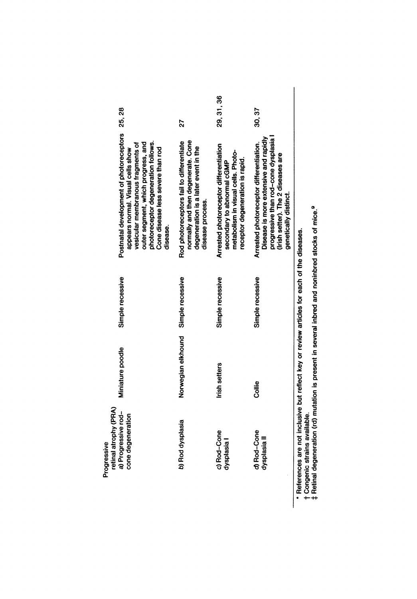| retinal atrophy (PRA)<br>Progressive                                                |                    |                  |                                                                                                                                                                                                                                                        |            |
|-------------------------------------------------------------------------------------|--------------------|------------------|--------------------------------------------------------------------------------------------------------------------------------------------------------------------------------------------------------------------------------------------------------|------------|
| a) Progressive rod-<br>cone degeneration                                            | Miniature poodle   | Simple recessive | Postnatal development of photoreceptors 25, 28<br>photoreceptor degeneration follows.<br>outer segment, which progress, and<br>vesicular membranous fragments of<br>Cone disease less severe than rod<br>appears normal. Visual cells show<br>disease. |            |
| b) Rod dysplasia                                                                    | Norwegian elkhound | Simple recessive | normally and then degenerate. Cone<br>Rod photoreceptors fail to differentiate<br>degeneration is a later event in the<br>disease process.                                                                                                             | 27         |
| c) Rod-Cone<br>dysplasia I                                                          | Irish setters      | Simple recessive | Arrested photoreceptor differentiation<br>metabolism in visual cells. Photo-<br>receptor degeneration is rapid.<br>secondary to abnormal cGMP                                                                                                          | 29, 31, 36 |
| d) Rod-Cone<br>dysplasia II                                                         | Collie             | Simple recessive | Disease is more extensive and rapidly<br>progressive than rod-cone dysplasia<br>Arrested photoreceptor differentiation.<br>(Irish setter). The 2 diseases are<br>genetically distinct.                                                                 | 30, 37     |
| appes are not inclusive but reflect her or review articles for each of the diseases |                    |                  |                                                                                                                                                                                                                                                        |            |

\* References are not inclusive but reflect key or review articles for each of the diseases.<br>† Congenic strains available.<br>‡ Retinal degeneration (rd) mutation is present in several inbred and noninbred stocks of mice.<sup>9</sup>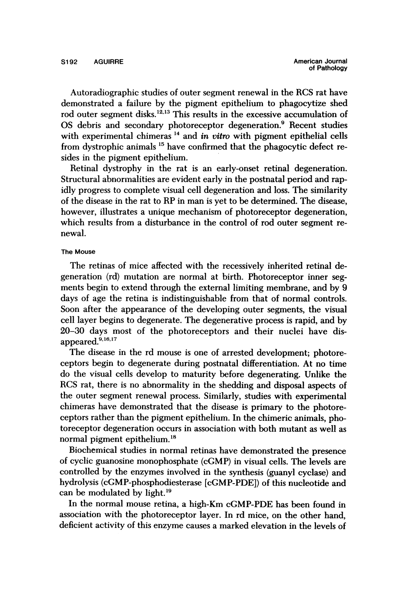Autoradiographic studies of outer segment renewal in the RCS rat have demonstrated a failure by the pigment epithelium to phagocytize shed rod outer segment disks.<sup>12,13</sup> This results in the excessive accumulation of OS debris and secondary photoreceptor degeneration.<sup>9</sup> Recent studies with experimental chimeras<sup>14</sup> and *in vitro* with pigment epithelial cells from dystrophic animals <sup>15</sup> have confirmed that the phagocytic defect resides in the pigment epithelium.

Retinal dystrophy in the rat is an early-onset retinal degeneration. Structural abnormalities are evident early in the postnatal period and rapidly progress to complete visual cell degeneration and loss. The similarity of the disease in the rat to RP in man is yet to be determined. The disease, however, illustrates a unique mechanism of photoreceptor degeneration, which results from a disturbance in the control of rod outer segment renewal.

#### The Mouse

The retinas of mice affected with the recessively inherited retinal degeneration (rd) mutation are normal at birth. Photoreceptor inner segments begin to extend through the external limiting membrane, and by 9 days of age the retina is indistinguishable from that of normal controls. Soon after the appearance of the developing outer segments, the visual cell layer begins to degenerate. The degenerative process is rapid, and by 20-30 days most of the photoreceptors and their nuclei have disappeared.<sup>9,16,17</sup>

The disease in the rd mouse is one of arrested development; photoreceptors begin to degenerate during postnatal differentiation. At no time do the visual cells develop to maturity before degenerating. Unlike the RCS rat, there is no abnormality in the shedding and disposal aspects of the outer segment renewal process. Similarly, studies with experimental chimeras have demonstrated that the disease is primary to the photoreceptors rather than the pigment epithelium. In the chimeric animals, photoreceptor degeneration occurs in association with both mutant as well as normal pigment epithelium.'8

Biochemical studies in normal retinas have demonstrated the presence of cyclic guanosine monophosphate (cGMP) in visual cells. The levels are controlled by the enzymes involved in the synthesis (guanyl cyclase) and hydrolysis (cGMP-phosphodiesterase [cGMP-PDE]) of this nucleotide and can be modulated by light.'9

In the normal mouse retina, a high-Km cGMP-PDE has been found in association with the photoreceptor layer. In rd mice, on the other hand, deficient activity of this enzyme causes a marked elevation in the levels of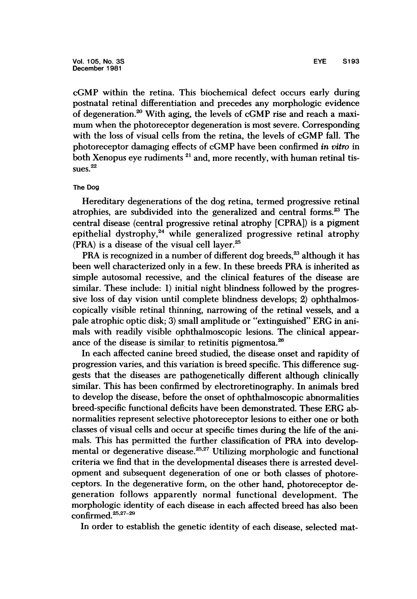cGMP within the retina. This biochemical defect occurs early during postnatal retinal differentiation and precedes any morphologic evidence of degeneration.20 With aging, the levels of cGMP rise and reach <sup>a</sup> maximum when the photoreceptor degeneration is most severe. Corresponding with the loss of visual cells from the retina, the levels of cGMP fall. The photoreceptor damaging effects of cGMP have been confirmed in vitro in both Xenopus eye rudiments<sup>21</sup> and, more recently, with human retinal tissues.<sup>22</sup>

#### The Dog

Hereditary degenerations of the dog retina, termed progressive retinal atrophies, are subdivided into the generalized and central forms.<sup>23</sup> The central disease (central progressive retinal atrophy [CPRA]) is a pigment epithelial dystrophy, $24$  while generalized progressive retinal atrophy (PRA) is a disease of the visual cell layer.<sup>25</sup>

PRA is recognized in a number of different dog breeds,<sup>23</sup> although it has been well characterized only in a few. In these breeds PRA is inherited as simple autosomal recessive, and the clinical features of the disease are similar. These include: 1) initial night blindness followed by the progressive loss of day vision until complete blindness develops; 2) ophthalmoscopically visible retinal thinning, narrowing of the retinal vessels, and a pale atrophic optic disk; 3) small amplitude or "extinguished" ERG in animals with readily visible ophthalmoscopic lesions. The clinical appearance of the disease is similar to retinitis pigmentosa. $^{26}$ 

In each affected canine breed studied, the disease onset and rapidity of progression varies, and this variation is breed specific. This difference suggests that the diseases are pathogenetically different although clinically similar. This has been confirmed by electroretinography. In animals bred to develop the disease, before the onset of ophthalmoscopic abnormalities breed-specific functional deficits have been demonstrated. These ERG abnormalities represent selective photoreceptor lesions to either one or both classes of visual cells and occur at specific times during the life of the animals. This has permitted the further classification of PRA into developmental or degenerative disease. $25.27$  Utilizing morphologic and functional criteria we find that in the developmental diseases there is arrested development and subsequent degeneration of one or both classes of photoreceptors. In the degenerative form, on the other hand, photoreceptor degeneration follows apparently normal functional development. The morphologic identity of each disease in each affected breed has also been confirmed.<sup>25,27-29</sup>

In order to establish the genetic identity of each disease, selected mat-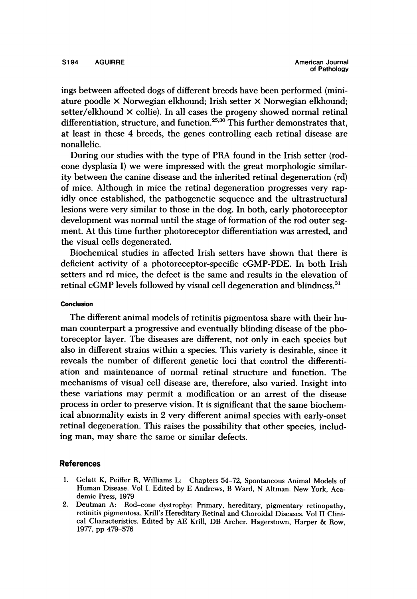ings between affected dogs of different breeds have been performed (miniature poodle x Norwegian elkhound; Irish setter X Norwegian elkhound; setter/elkhound  $\times$  collie). In all cases the progeny showed normal retinal differentiation, structure, and function.<sup>25,30</sup> This further demonstrates that, at least in these 4 breeds, the genes controlling each retinal disease are nonallelic.

During our studies with the type of PRA found in the Irish setter (rodcone dysplasia I) we were impressed with the great morphologic similarity between the canine disease and the inherited retinal degeneration (rd) of mice. Although in mice the retinal degeneration progresses very rapidly once established, the pathogenetic sequence and the ultrastructural lesions were very similar to those in the dog. In both, early photoreceptor development was normal until the stage of formation of the rod outer segment. At this time further photoreceptor differentiation was arrested, and the visual cells degenerated.

Biochemical studies in affected Irish setters have shown that there is deficient activity of a photoreceptor-specific cGMP-PDE. In both Irish setters and rd mice, the defect is the same and results in the elevation of retinal cGMP levels followed by visual cell degeneration and blindness.<sup>31</sup>

#### Conclusion

The different animal models of retinitis pigmentosa share with their human counterpart a progressive and eventually blinding disease of the photoreceptor layer. The diseases are different, not only in each species but also in different strains within a species. This variety is desirable, since it reveals the number of different genetic loci that control the differentiation and maintenance of normal retinal structure and function. The mechanisms of visual cell disease are, therefore, also varied. Insight into these variations may permit a modification or an arrest of the disease process in order to preserve vision. It is significant that the same biochemical abnormality exists in 2 very different animal species with early-onset retinal degeneration. This raises the possibility that other species, including man, may share the same or similar defects.

#### References

- 1. Gelatt K, Peiffer R, Williams L: Chapters 54-72, Spontaneous Animal Models of Human Disease. Vol I. Edited by E Andrews, B Ward, N Altman. New York, Academic Press, 1979
- 2. Deutman A: Rod-cone dystrophy: Primary, hereditary, pigmentary retinopathy, retinitis pigmentosa, Krill's Hereditary Retinal and Choroidal Diseases. Vol II Clinical Characteristics. Edited by AE Krill, DB Archer. Hagerstown, Harper & Row, 1977, pp 479-576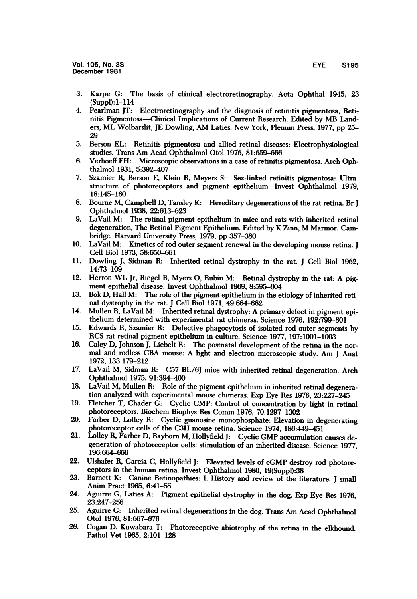- 3. Karpe G: The basis of clinical electroretinography. Acta Ophthal 1945, 23 (Suppl): 1-114
- 4. Pearlman JT: Electroretinography and the diagnosis of retinitis pigmentosa, Retinitis Pigmentosa-Clinical Implications of Current Research. Edited by MB Landers, ML Wolbarslit, JE Dowling, AM Laties. New York, Plenum Press, 1977, pp 25- 29
- 5. Berson EL: Retinitis pigmentosa and allied retinal diseases: Electrophysiological studies. Trans Am Acad Ophthalmol Otol 1976, 81:659-666
- 6. Verhoeff FH: Microscopic observations in a case of retinitis pigmentosa. Arch Ophthalmol 1931, 5:392-407
- 7. Szamier R, Berson E, Klein R, Meyers S: Sex-linked retinitis pigmentosa: Ultrastructure of photoreceptors and pigment epithelium. Invest Ophthalmol 1979, 18:145-160
- 8. Boume M, Campbell D, Tansley K: Hereditary degenerations of the rat retina. Br <sup>J</sup> Ophthalmol 1938, 22:613-623
- 9. LaVail M: The retinal pigment epithelium in mice and rats with inherited retinal degeneration, The Retinal Pigment Epithelium. Edited by K Zinn, M Marmor. Cambridge, Harvard University Press, 1979, pp 357-380
- 10. LaVail M: Kinetics of rod outer segment renewal in the developing mouse retina. <sup>J</sup> Cell Biol 1973, 58:650-661
- 11. Dowling J, Sidman R: Inherited retinal dystrophy in the rat. <sup>J</sup> Cell Biol 1962, 14:73-109
- 12. Herron WL Jr, Riegel B, Myers 0, Rubin M: Retinal dystrophy in the rat: A pigment epithelial disease. Invest Ophthalmol 1969, 8:595-604
- 13. Bok D, Hall M: The role of the pigment epithelium in the etiology of inherited retinal dystrophy in the rat. J Cell Biol 1971, 49:664-682
- 14. Mullen R, LaVail M: Inherited retinal dystrophy: A primary defect in pigment epithelium determined with experimental rat chimeras. Science 1976, 192:799-801
- 15. Edwards R, Szamier R: Defective phagocytosis of isolated rod outer segments by RCS rat retinal pigment epithelium in culture. Science 1977, 197:1001-1003
- 16. Caley D, Johnson J, Liebelt R: The postnatal development of the retina in the normal and rodless CBA mouse: A light and electron microscopic study. Am <sup>J</sup> Anat 1972, 133:179-212
- 17. LaVail M, Sidman R: C57 BL/6J mice with inherited retinal degeneration. Arch Ophthalmol 1975, 91:394-400
- 18. LaVail M, Mullen R: Role of the pigment epithelium in inherited retinal degeneration analyzed with experimental mouse chimeras. Exp Eye Res 1976, 23:227-245
- 19. Fletcher T, Chader G: Cyclic CMP: Control of concentration by light in retinal photoreceptors. Biochem Biophys Res Comm 1976, 70:1297-1302
- 20. Farber D, Lolley R: Cyclic guanosine monophosphate: Elevation in degenerating photoreceptor cells of the C3H mouse retina. Science 1974, 186:449-451
- 21. Lolley R, Farber D, Raybom M, Hollyfield J: Cyclic GMP accumulation causes degeneration of photoreceptor cells: stimulation of an inherited disease. Science 1977, 196:664-666
- 22. Ulshafer R, Garcia C, Hollyfield J: Elevated levels of cGMP destroy rod photoreceptors in the human retina. Invest Ophthalmol 1980, 19(Suppl):38
- 23. Barnett K: Canine Retinopathies: I. History and review of the literature. <sup>J</sup> small Anim Pract 1965, 6:41-55
- 24. Aguirre G, Laties A: Pigment epithelial dystrophy in the dog. Exp Eye Res 1976, 23:247-256
- 25. Aguirre G: Inherited retinal degenerations in the dog. Trans Am Acad Ophthalmol Otol 1976, 81:667-676
- 26. Cogan D, Kuwabara T: Photoreceptive abiotrophy of the retina in the elkhound. Pathol Vet 1965, 2:101-128